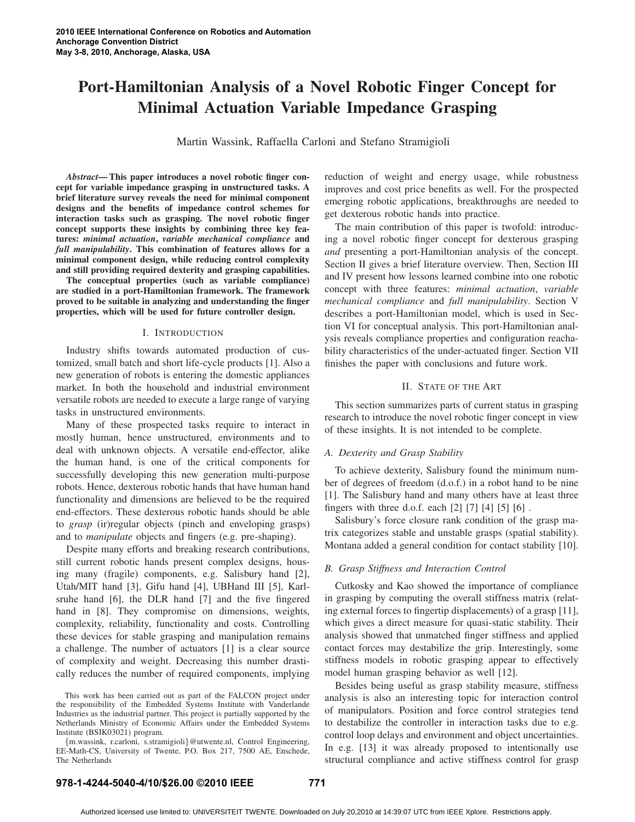# Port-Hamiltonian Analysis of a Novel Robotic Finger Concept for Minimal Actuation Variable Impedance Grasping

Martin Wassink, Raffaella Carloni and Stefano Stramigioli

*Abstract*— This paper introduces a novel robotic finger concept for variable impedance grasping in unstructured tasks. A brief literature survey reveals the need for minimal component designs and the benefits of impedance control schemes for interaction tasks such as grasping. The novel robotic finger concept supports these insights by combining three key features: *minimal actuation*, *variable mechanical compliance* and *full manipulability*. This combination of features allows for a minimal component design, while reducing control complexity and still providing required dexterity and grasping capabilities.

The conceptual properties (such as variable compliance) are studied in a port-Hamiltonian framework. The framework proved to be suitable in analyzing and understanding the finger properties, which will be used for future controller design.

#### I. INTRODUCTION

Industry shifts towards automated production of customized, small batch and short life-cycle products [1]. Also a new generation of robots is entering the domestic appliances market. In both the household and industrial environment versatile robots are needed to execute a large range of varying tasks in unstructured environments.

Many of these prospected tasks require to interact in mostly human, hence unstructured, environments and to deal with unknown objects. A versatile end-effector, alike the human hand, is one of the critical components for successfully developing this new generation multi-purpose robots. Hence, dexterous robotic hands that have human hand functionality and dimensions are believed to be the required end-effectors. These dexterous robotic hands should be able to *grasp* (ir)regular objects (pinch and enveloping grasps) and to *manipulate* objects and fingers (e.g. pre-shaping).

Despite many efforts and breaking research contributions, still current robotic hands present complex designs, housing many (fragile) components, e.g. Salisbury hand [2], Utah/MIT hand [3], Gifu hand [4], UBHand III [5], Karlsruhe hand [6], the DLR hand [7] and the five fingered hand in [8]. They compromise on dimensions, weights, complexity, reliability, functionality and costs. Controlling these devices for stable grasping and manipulation remains a challenge. The number of actuators [1] is a clear source of complexity and weight. Decreasing this number drastically reduces the number of required components, implying

{m.wassink, r.carloni, s.stramigioli}@utwente.nl, Control Engineering, EE-Math-CS, University of Twente, P.O. Box 217, 7500 AE, Enschede, The Netherlands

reduction of weight and energy usage, while robustness improves and cost price benefits as well. For the prospected emerging robotic applications, breakthroughs are needed to get dexterous robotic hands into practice.

The main contribution of this paper is twofold: introducing a novel robotic finger concept for dexterous grasping *and* presenting a port-Hamiltonian analysis of the concept. Section II gives a brief literature overview. Then, Section III and IV present how lessons learned combine into one robotic concept with three features: *minimal actuation*, *variable mechanical compliance* and *full manipulability*. Section V describes a port-Hamiltonian model, which is used in Section VI for conceptual analysis. This port-Hamiltonian analysis reveals compliance properties and configuration reachability characteristics of the under-actuated finger. Section VII finishes the paper with conclusions and future work.

## II. STATE OF THE ART

This section summarizes parts of current status in grasping research to introduce the novel robotic finger concept in view of these insights. It is not intended to be complete.

## *A. Dexterity and Grasp Stability*

To achieve dexterity, Salisbury found the minimum number of degrees of freedom (d.o.f.) in a robot hand to be nine [1]. The Salisbury hand and many others have at least three fingers with three d.o.f. each [2] [7] [4] [5] [6] .

Salisbury's force closure rank condition of the grasp matrix categorizes stable and unstable grasps (spatial stability). Montana added a general condition for contact stability [10].

#### *B. Grasp Stiffness and Interaction Control*

Cutkosky and Kao showed the importance of compliance in grasping by computing the overall stiffness matrix (relating external forces to fingertip displacements) of a grasp [11], which gives a direct measure for quasi-static stability. Their analysis showed that unmatched finger stiffness and applied contact forces may destabilize the grip. Interestingly, some stiffness models in robotic grasping appear to effectively model human grasping behavior as well [12].

Besides being useful as grasp stability measure, stiffness analysis is also an interesting topic for interaction control of manipulators. Position and force control strategies tend to destabilize the controller in interaction tasks due to e.g. control loop delays and environment and object uncertainties. In e.g. [13] it was already proposed to intentionally use structural compliance and active stiffness control for grasp

# **978-1-4244-5040-4/10/\$26.00 ©2010 IEEE 771**

This work has been carried out as part of the FALCON project under the responsibility of the Embedded Systems Institute with Vanderlande Industries as the industrial partner. This project is partially supported by the Netherlands Ministry of Economic Affairs under the Embedded Systems Institute (BSIK03021) program.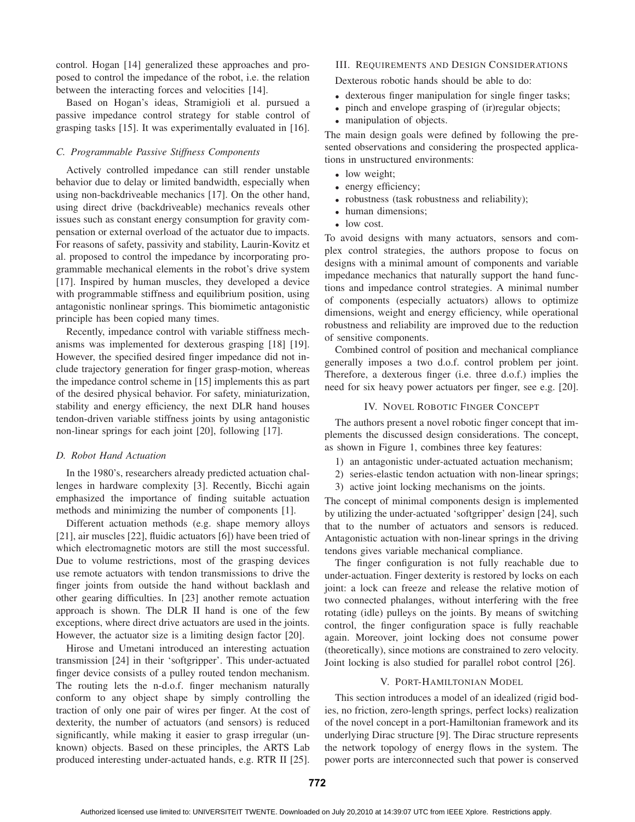control. Hogan [14] generalized these approaches and proposed to control the impedance of the robot, i.e. the relation between the interacting forces and velocities [14].

Based on Hogan's ideas, Stramigioli et al. pursued a passive impedance control strategy for stable control of grasping tasks [15]. It was experimentally evaluated in [16].

## *C. Programmable Passive Stiffness Components*

Actively controlled impedance can still render unstable behavior due to delay or limited bandwidth, especially when using non-backdriveable mechanics [17]. On the other hand, using direct drive (backdriveable) mechanics reveals other issues such as constant energy consumption for gravity compensation or external overload of the actuator due to impacts. For reasons of safety, passivity and stability, Laurin-Kovitz et al. proposed to control the impedance by incorporating programmable mechanical elements in the robot's drive system [17]. Inspired by human muscles, they developed a device with programmable stiffness and equilibrium position, using antagonistic nonlinear springs. This biomimetic antagonistic principle has been copied many times.

Recently, impedance control with variable stiffness mechanisms was implemented for dexterous grasping [18] [19]. However, the specified desired finger impedance did not include trajectory generation for finger grasp-motion, whereas the impedance control scheme in [15] implements this as part of the desired physical behavior. For safety, miniaturization, stability and energy efficiency, the next DLR hand houses tendon-driven variable stiffness joints by using antagonistic non-linear springs for each joint [20], following [17].

## *D. Robot Hand Actuation*

In the 1980's, researchers already predicted actuation challenges in hardware complexity [3]. Recently, Bicchi again emphasized the importance of finding suitable actuation methods and minimizing the number of components [1].

Different actuation methods (e.g. shape memory alloys [21], air muscles [22], fluidic actuators [6]) have been tried of which electromagnetic motors are still the most successful. Due to volume restrictions, most of the grasping devices use remote actuators with tendon transmissions to drive the finger joints from outside the hand without backlash and other gearing difficulties. In [23] another remote actuation approach is shown. The DLR II hand is one of the few exceptions, where direct drive actuators are used in the joints. However, the actuator size is a limiting design factor [20].

Hirose and Umetani introduced an interesting actuation transmission [24] in their 'softgripper'. This under-actuated finger device consists of a pulley routed tendon mechanism. The routing lets the n-d.o.f. finger mechanism naturally conform to any object shape by simply controlling the traction of only one pair of wires per finger. At the cost of dexterity, the number of actuators (and sensors) is reduced significantly, while making it easier to grasp irregular (unknown) objects. Based on these principles, the ARTS Lab produced interesting under-actuated hands, e.g. RTR II [25].

## III. REQUIREMENTS AND DESIGN CONSIDERATIONS

Dexterous robotic hands should be able to do:

- dexterous finger manipulation for single finger tasks;
- pinch and envelope grasping of (ir)regular objects;
- manipulation of objects.

The main design goals were defined by following the presented observations and considering the prospected applications in unstructured environments:

- low weight;
- energy efficiency;
- robustness (task robustness and reliability);
- human dimensions;
- low cost.

To avoid designs with many actuators, sensors and complex control strategies, the authors propose to focus on designs with a minimal amount of components and variable impedance mechanics that naturally support the hand functions and impedance control strategies. A minimal number of components (especially actuators) allows to optimize dimensions, weight and energy efficiency, while operational robustness and reliability are improved due to the reduction of sensitive components.

Combined control of position and mechanical compliance generally imposes a two d.o.f. control problem per joint. Therefore, a dexterous finger (i.e. three d.o.f.) implies the need for six heavy power actuators per finger, see e.g. [20].

## IV. NOVEL ROBOTIC FINGER CONCEPT

The authors present a novel robotic finger concept that implements the discussed design considerations. The concept, as shown in Figure 1, combines three key features:

- 1) an antagonistic under-actuated actuation mechanism;
- 2) series-elastic tendon actuation with non-linear springs;
- 3) active joint locking mechanisms on the joints.

The concept of minimal components design is implemented by utilizing the under-actuated 'softgripper' design [24], such that to the number of actuators and sensors is reduced. Antagonistic actuation with non-linear springs in the driving tendons gives variable mechanical compliance.

The finger configuration is not fully reachable due to under-actuation. Finger dexterity is restored by locks on each joint: a lock can freeze and release the relative motion of two connected phalanges, without interfering with the free rotating (idle) pulleys on the joints. By means of switching control, the finger configuration space is fully reachable again. Moreover, joint locking does not consume power (theoretically), since motions are constrained to zero velocity. Joint locking is also studied for parallel robot control [26].

## V. PORT-HAMILTONIAN MODEL

This section introduces a model of an idealized (rigid bodies, no friction, zero-length springs, perfect locks) realization of the novel concept in a port-Hamiltonian framework and its underlying Dirac structure [9]. The Dirac structure represents the network topology of energy flows in the system. The power ports are interconnected such that power is conserved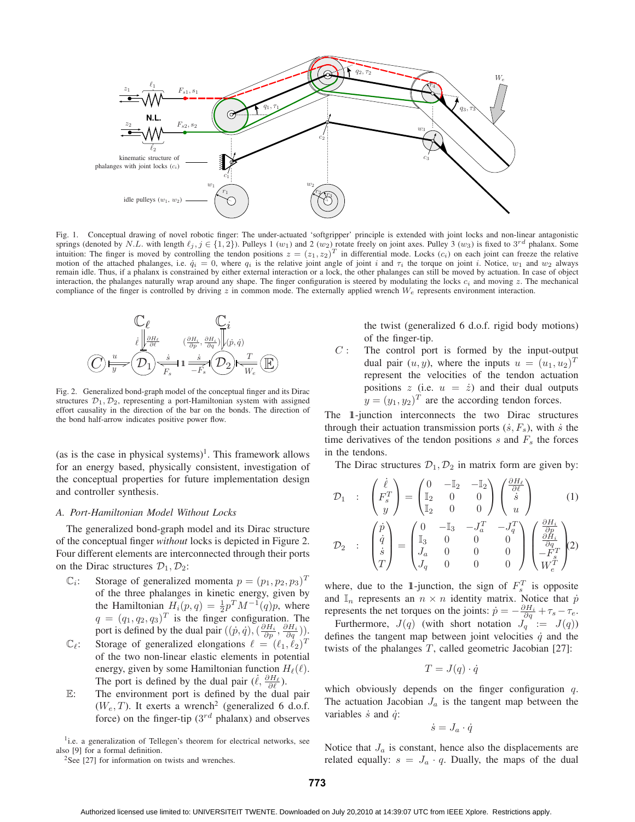

Fig. 1. Conceptual drawing of novel robotic finger: The under-actuated 'softgripper' principle is extended with joint locks and non-linear antagonistic springs (denoted by N.L. with length  $\ell_j$ ,  $j \in \{1, 2\}$ ). Pulleys 1 (w<sub>1</sub>) and 2 (w<sub>2</sub>) rotate freely on joint axes. Pulley 3 (w<sub>3</sub>) is fixed to 3<sup>rd</sup> phalanx. Some intuition: The finger is moved by controlling the tendon positions  $z = (z_1, z_2)^T$  in differential mode. Locks  $(c_i)$  on each joint can freeze the relative motion of the attached phalanges, i.e.  $\dot{q}_i = 0$ , where  $q_i$  is the relative joint angle of joint i and  $\tau_i$  the torque on joint i. Notice,  $w_1$  and  $w_2$  always remain idle. Thus, if a phalanx is constrained by either external interaction or a lock, the other phalanges can still be moved by actuation. In case of object interaction, the phalanges naturally wrap around any shape. The finger configuration is steered by modulating the locks  $c_i$  and moving z. The mechanical compliance of the finger is controlled by driving z in common mode. The externally applied wrench  $W_e$  represents environment interaction.



Fig. 2. Generalized bond-graph model of the conceptual finger and its Dirac structures  $\mathcal{D}_1, \mathcal{D}_2$ , representing a port-Hamiltonian system with assigned effort causality in the direction of the bar on the bonds. The direction of the bond half-arrow indicates positive power flow.

(as is the case in physical systems)<sup>1</sup>. This framework allows for an energy based, physically consistent, investigation of the conceptual properties for future implementation design and controller synthesis.

## *A. Port-Hamiltonian Model Without Locks*

The generalized bond-graph model and its Dirac structure of the conceptual finger *without* locks is depicted in Figure 2. Four different elements are interconnected through their ports on the Dirac structures  $\mathcal{D}_1, \mathcal{D}_2$ :

- $\mathbb{C}_i$ : Storage of generalized momenta  $p = (p_1, p_2, p_3)^T$ of the three phalanges in kinetic energy, given by the Hamiltonian  $H_i(p,q) = \frac{1}{2} p^T M^{-1}(q) p$ , where  $q = (q_1, q_2, q_3)^T$  is the finger configuration. The port is defined by the dual pair  $((\dot{p}, \dot{q}),(\frac{\partial H_i}{\partial p},\frac{\partial H_i}{\partial q}))$ .
- $\mathbb{C}_{\ell}$ : Storage of generalized elongations  $\ell = (\ell_1, \ell_2)^T$ of the two non-linear elastic elements in potential energy, given by some Hamiltonian function  $H_{\ell}(\ell)$ . The port is defined by the dual pair  $(\dot{\ell}, \frac{\partial H_{\ell}}{\partial \ell})$ .
- $E$ : The environment port is defined by the dual pair  $(W_e, T)$ . It exerts a wrench<sup>2</sup> (generalized 6 d.o.f. force) on the finger-tip  $(3^{rd}$  phalanx) and observes

<sup>1</sup>i.e. a generalization of Tellegen's theorem for electrical networks, see also [9] for a formal definition.

<sup>2</sup>See [27] for information on twists and wrenches.

the twist (generalized 6 d.o.f. rigid body motions) of the finger-tip.

 $C$ : The control port is formed by the input-output dual pair  $(u, y)$ , where the inputs  $u = (u_1, u_2)^T$ represent the velocities of the tendon actuation positions  $z$  (i.e.  $u = \dot{z}$ ) and their dual outputs  $y = (y_1, y_2)^T$  are the according tendon forces.

The 1-junction interconnects the two Dirac structures through their actuation transmission ports  $(\dot{s}, F_s)$ , with  $\dot{s}$  the time derivatives of the tendon positions  $s$  and  $F<sub>s</sub>$  the forces in the tendons.

The Dirac structures  $\mathcal{D}_1, \mathcal{D}_2$  in matrix form are given by:

 $\theta$  or  $\theta$ 

$$
\mathcal{D}_1 : \begin{pmatrix} \dot{\ell} \\ F_s^T \\ y \end{pmatrix} = \begin{pmatrix} 0 & -\mathbb{I}_2 & -\mathbb{I}_2 \\ \mathbb{I}_2 & 0 & 0 \\ \mathbb{I}_2 & 0 & 0 \end{pmatrix} \begin{pmatrix} \frac{\partial H_{\ell}}{\partial \ell} \\ \dot{s} \\ u \end{pmatrix}
$$
\n
$$
\mathcal{D}_2 : \begin{pmatrix} \dot{p} \\ \dot{q} \\ \dot{s} \\ T \end{pmatrix} = \begin{pmatrix} 0 & -\mathbb{I}_3 & -J_a^T & -J_q^T \\ \mathbb{I}_3 & 0 & 0 & 0 \\ J_a & 0 & 0 & 0 \\ J_q & 0 & 0 & 0 \end{pmatrix} \begin{pmatrix} \frac{\partial H_i}{\partial q} \\ \frac{\partial H_i}{\partial q} \\ -F_s^T \\ W_e^T \end{pmatrix} (2)
$$

where, due to the 1-junction, the sign of  $F_s^T$  is opposite and  $\mathbb{I}_n$  represents an  $n \times n$  identity matrix. Notice that  $\dot{p}$ represents the net torques on the joints:  $\dot{p} = -\frac{\partial H_i}{\partial q} + \tau_s - \tau_e$ .

Furthermore,  $J(q)$  (with short notation  $J_q := J(q)$ ) defines the tangent map between joint velocities  $\dot{q}$  and the twists of the phalanges  $T$ , called geometric Jacobian [27]:

$$
T = J(q) \cdot \dot{q}
$$

which obviously depends on the finger configuration  $q$ . The actuation Jacobian  $J_a$  is the tangent map between the variables  $\dot{s}$  and  $\dot{q}$ :

$$
\dot{s} = J_a \cdot \dot{q}
$$

Notice that  $J_a$  is constant, hence also the displacements are related equally:  $s = J_a \cdot q$ . Dually, the maps of the dual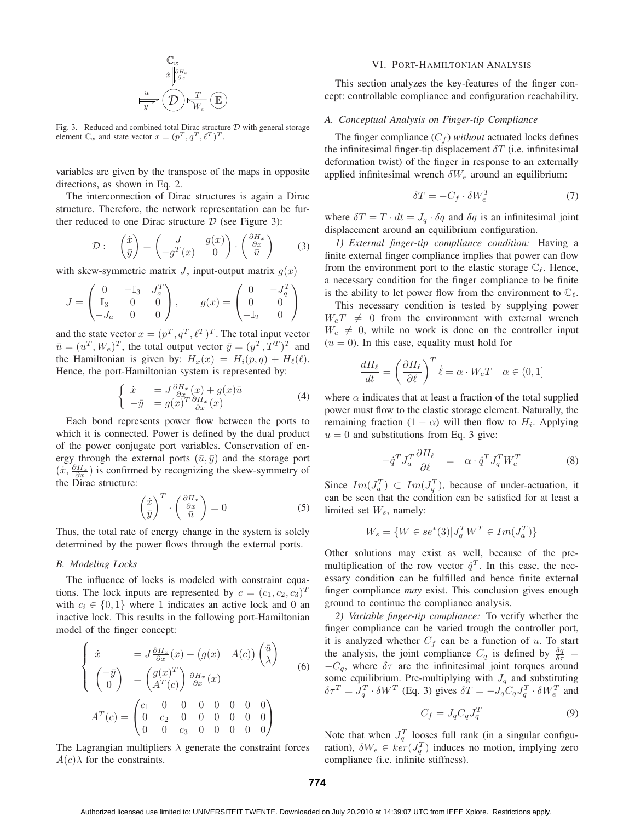$$
\begin{array}{c}\n\mathbb{C}_x \\
\dot{x} \bigg| \frac{\partial H_x}{\partial x} \\
\frac{u}{y} \left( \bigotimes \right) \frac{T}{W_e} \left( \mathbb{E} \right)\n\end{array}
$$

Fig. 3. Reduced and combined total Dirac structure  $D$  with general storage element  $\mathbb{C}_x$  and state vector  $x = (p^T, q^T, \ell^T)^T$ .

variables are given by the transpose of the maps in opposite directions, as shown in Eq. 2.

The interconnection of Dirac structures is again a Dirac structure. Therefore, the network representation can be further reduced to one Dirac structure  $D$  (see Figure 3):

$$
\mathcal{D}: \quad \begin{pmatrix} \dot{x} \\ \bar{y} \end{pmatrix} = \begin{pmatrix} J & g(x) \\ -g^T(x) & 0 \end{pmatrix} \cdot \begin{pmatrix} \frac{\partial H_x}{\partial x} \\ \bar{u} \end{pmatrix} \tag{3}
$$

with skew-symmetric matrix  $J$ , input-output matrix  $g(x)$ 

$$
J = \begin{pmatrix} 0 & -\mathbb{I}_3 & J_a^T \\ \mathbb{I}_3 & 0 & 0 \\ -J_a & 0 & 0 \end{pmatrix}, \qquad g(x) = \begin{pmatrix} 0 & -J_q^T \\ 0 & 0 \\ -\mathbb{I}_2 & 0 \end{pmatrix}
$$

and the state vector  $x = (p^T, q^T, \ell^T)^T$ . The total input vector  $\bar{u} = (u^T, W_e)^T$ , the total output vector  $\bar{y} = (y^T, T^T)^T$  and the Hamiltonian is given by:  $H_x(x) = H_i(p,q) + H_\ell(\ell)$ . Hence, the port-Hamiltonian system is represented by:

$$
\begin{cases}\n\dot{x} = J \frac{\partial H_x}{\partial x}(x) + g(x)\bar{u} \\
-\bar{y} = g(x)^T \frac{\partial H_x}{\partial x}(x)\n\end{cases} (4)
$$

Each bond represents power flow between the ports to which it is connected. Power is defined by the dual product of the power conjugate port variables. Conservation of energy through the external ports  $(\bar{u}, \bar{y})$  and the storage port  $(\dot{x}, \frac{\partial H_x}{\partial x})$  is confirmed by recognizing the skew-symmetry of the Dirac structure:

$$
\left(\frac{\dot{x}}{\bar{y}}\right)^T \cdot \left(\frac{\partial H_x}{\partial x}\right) = 0\tag{5}
$$

Thus, the total rate of energy change in the system is solely determined by the power flows through the external ports.

## *B. Modeling Locks*

The influence of locks is modeled with constraint equations. The lock inputs are represented by  $c = (c_1, c_2, c_3)^T$ with  $c_i \in \{0, 1\}$  where 1 indicates an active lock and 0 an inactive lock. This results in the following port-Hamiltonian model of the finger concept:

$$
\begin{cases}\n\dot{x} = J \frac{\partial H_x}{\partial x}(x) + (g(x) - A(c)) \begin{pmatrix} \bar{u} \\ \lambda \end{pmatrix} \\
\begin{pmatrix} -\bar{y} \\ 0 \end{pmatrix} = \begin{pmatrix} g(x)^T \\ A^T(c) \end{pmatrix} \frac{\partial H_x}{\partial x}(x) \\
A^T(c) = \begin{pmatrix} c_1 & 0 & 0 & 0 & 0 & 0 & 0 \\ 0 & c_2 & 0 & 0 & 0 & 0 & 0 \\ 0 & 0 & c_3 & 0 & 0 & 0 & 0 \end{pmatrix}\n\end{cases}
$$
\n(6)

The Lagrangian multipliers  $\lambda$  generate the constraint forces  $A(c)\lambda$  for the constraints.

#### VI. PORT-HAMILTONIAN ANALYSIS

This section analyzes the key-features of the finger concept: controllable compliance and configuration reachability.

### *A. Conceptual Analysis on Finger-tip Compliance*

The finger compliance  $(C_f)$  *without* actuated locks defines the infinitesimal finger-tip displacement  $\delta T$  (i.e. infinitesimal deformation twist) of the finger in response to an externally applied infinitesimal wrench  $\delta W_e$  around an equilibrium:

$$
\delta T = -C_f \cdot \delta W_e^T \tag{7}
$$

where  $\delta T = T \cdot dt = J_q \cdot \delta q$  and  $\delta q$  is an infinitesimal joint displacement around an equilibrium configuration.

*1) External finger-tip compliance condition:* Having a finite external finger compliance implies that power can flow from the environment port to the elastic storage  $\mathbb{C}_{\ell}$ . Hence, a necessary condition for the finger compliance to be finite is the ability to let power flow from the environment to  $\mathbb{C}_{\ell}$ .

This necessary condition is tested by supplying power  $W_eT \neq 0$  from the environment with external wrench  $W_e \neq 0$ , while no work is done on the controller input  $(u = 0)$ . In this case, equality must hold for

$$
\frac{dH_{\ell}}{dt} = \left(\frac{\partial H_{\ell}}{\partial \ell}\right)^{T} \dot{\ell} = \alpha \cdot W_{e} T \quad \alpha \in (0, 1]
$$

where  $\alpha$  indicates that at least a fraction of the total supplied power must flow to the elastic storage element. Naturally, the remaining fraction  $(1 - \alpha)$  will then flow to  $H_i$ . Applying  $u = 0$  and substitutions from Eq. 3 give:

$$
-\dot{q}^T J_a^T \frac{\partial H_\ell}{\partial \ell} = \alpha \cdot \dot{q}^T J_q^T W_e^T \tag{8}
$$

Since  $Im(J_a^T) \subset Im(J_q^T)$ , because of under-actuation, it can be seen that the condition can be satisfied for at least a limited set  $W_s$ , namely:

$$
W_s = \{ W \in se^*(3) | J_q^T W^T \in Im(J_a^T) \}
$$

Other solutions may exist as well, because of the premultiplication of the row vector  $\dot{q}^T$ . In this case, the necessary condition can be fulfilled and hence finite external finger compliance *may* exist. This conclusion gives enough ground to continue the compliance analysis.

*2) Variable finger-tip compliance:* To verify whether the finger compliance can be varied trough the controller port, it is analyzed whether  $C_f$  can be a function of u. To start the analysis, the joint compliance  $C_q$  is defined by  $\frac{\delta q}{\delta \tau}$  =  $-C_q$ , where  $\delta\tau$  are the infinitesimal joint torques around some equilibrium. Pre-multiplying with  $J_q$  and substituting  $\delta \tau^T = J_q^T \cdot \delta W^T$  (Eq. 3) gives  $\delta T = -J_q C_q J_q^T \cdot \delta W_e^T$  and

$$
C_f = J_q C_q J_q^T \tag{9}
$$

Note that when  $J_q^T$  looses full rank (in a singular configuration),  $\delta W_e \in \ker(J_q^T)$  induces no motion, implying zero compliance (i.e. infinite stiffness).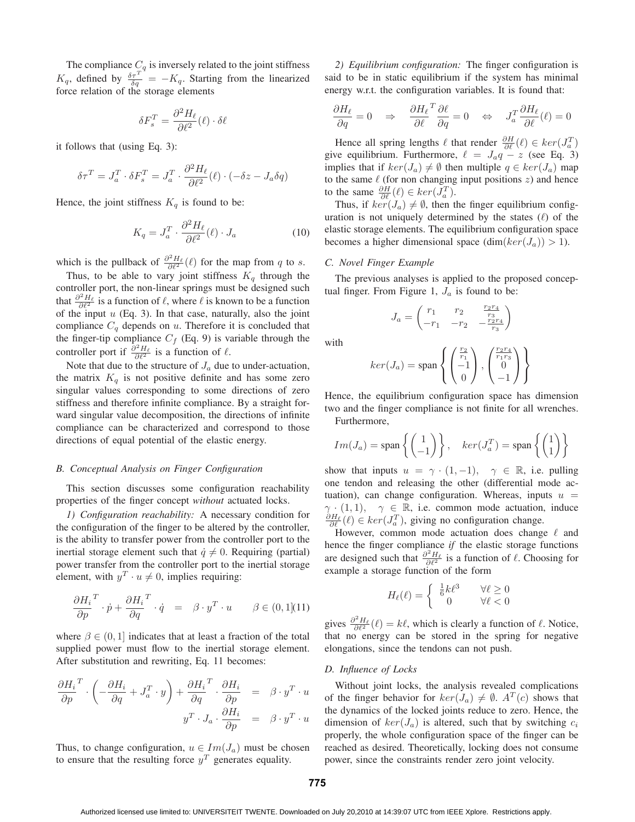The compliance  $C_q$  is inversely related to the joint stiffness  $K_q$ , defined by  $\frac{\delta \tau^T}{\delta q} = -K_q$ . Starting from the linearized force relation of the storage elements

$$
\delta F_s^T = \frac{\partial^2 H_\ell}{\partial \ell^2}(\ell) \cdot \delta \ell
$$

it follows that (using Eq. 3):

$$
\delta \tau^T = J_a^T \cdot \delta F_s^T = J_a^T \cdot \frac{\partial^2 H_{\ell}}{\partial \ell^2}(\ell) \cdot (-\delta z - J_a \delta q)
$$

Hence, the joint stiffness  $K_q$  is found to be:

$$
K_q = J_a^T \cdot \frac{\partial^2 H_\ell}{\partial \ell^2} (\ell) \cdot J_a \tag{10}
$$

which is the pullback of  $\frac{\partial^2 H_{\ell}}{\partial \ell^2}(\ell)$  for the map from q to s.

Thus, to be able to vary joint stiffness  $K_q$  through the controller port, the non-linear springs must be designed such that  $\frac{\partial^2 H_\ell}{\partial \ell^2}$  is a function of  $\ell$ , where  $\ell$  is known to be a function of the input  $u$  (Eq. 3). In that case, naturally, also the joint compliance  $C_q$  depends on u. Therefore it is concluded that the finger-tip compliance  $C_f$  (Eq. 9) is variable through the controller port if  $\frac{\partial^2 H_{\ell}}{\partial \ell^2}$  is a function of  $\ell$ .

Note that due to the structure of  $J_a$  due to under-actuation, the matrix  $K_q$  is not positive definite and has some zero singular values corresponding to some directions of zero stiffness and therefore infinite compliance. By a straight forward singular value decomposition, the directions of infinite compliance can be characterized and correspond to those directions of equal potential of the elastic energy.

## *B. Conceptual Analysis on Finger Configuration*

This section discusses some configuration reachability properties of the finger concept *without* actuated locks.

*1) Configuration reachability:* A necessary condition for the configuration of the finger to be altered by the controller, is the ability to transfer power from the controller port to the inertial storage element such that  $\dot{q} \neq 0$ . Requiring (partial) power transfer from the controller port to the inertial storage element, with  $y^T \cdot u \neq 0$ , implies requiring:

$$
\frac{\partial H_i}{\partial p}^T \cdot \dot{p} + \frac{\partial H_i}{\partial q}^T \cdot \dot{q} = \beta \cdot y^T \cdot u \qquad \beta \in (0, 1] (11)
$$

where  $\beta \in (0, 1]$  indicates that at least a fraction of the total supplied power must flow to the inertial storage element. After substitution and rewriting, Eq. 11 becomes:

$$
\frac{\partial H_i}{\partial p}^T \cdot \left( -\frac{\partial H_i}{\partial q} + J_a^T \cdot y \right) + \frac{\partial H_i}{\partial q}^T \cdot \frac{\partial H_i}{\partial p} = \beta \cdot y^T \cdot u
$$

$$
y^T \cdot J_a \cdot \frac{\partial H_i}{\partial p} = \beta \cdot y^T \cdot u
$$

Thus, to change configuration,  $u \in Im(J_a)$  must be chosen to ensure that the resulting force  $y<sup>T</sup>$  generates equality.

*2) Equilibrium configuration:* The finger configuration is said to be in static equilibrium if the system has minimal energy w.r.t. the configuration variables. It is found that:

$$
\frac{\partial H_{\ell}}{\partial q} = 0 \quad \Rightarrow \quad \frac{\partial H_{\ell}}{\partial \ell}^T \frac{\partial \ell}{\partial q} = 0 \quad \Leftrightarrow \quad J_a^T \frac{\partial H_{\ell}}{\partial \ell}(\ell) = 0
$$

Hence all spring lengths  $\ell$  that render  $\frac{\partial H}{\partial \ell}(\ell) \in \ker(J_a^T)$ give equilibrium. Furthermore,  $\ell = J_a q - z$  (see Eq. 3) implies that if  $ker(J_a) \neq \emptyset$  then multiple  $q \in ker(J_a)$  map to the same  $\ell$  (for non changing input positions  $z$ ) and hence to the same  $\frac{\partial H}{\partial \ell}(\ell) \in \ker(J_a^T)$ .

Thus, if  $ker(J_a) \neq \emptyset$ , then the finger equilibrium configuration is not uniquely determined by the states  $(\ell)$  of the elastic storage elements. The equilibrium configuration space becomes a higher dimensional space  $(\dim(ker(J_a)) > 1)$ .

# *C. Novel Finger Example*

The previous analyses is applied to the proposed conceptual finger. From Figure 1,  $J_a$  is found to be:

$$
J_a = \begin{pmatrix} r_1 & r_2 & \frac{r_2 r_4}{r_3} \\ -r_1 & -r_2 & -\frac{r_2 r_4}{r_3} \end{pmatrix}
$$

with

$$
ker(J_a) = span\left\{ \begin{pmatrix} \frac{r_2}{r_1} \\ -1 \\ 0 \end{pmatrix}, \begin{pmatrix} \frac{r_2 r_4}{r_1 r_3} \\ 0 \\ -1 \end{pmatrix} \right\}
$$

Hence, the equilibrium configuration space has dimension two and the finger compliance is not finite for all wrenches. Furthermore,

$$
Im(J_a) = \text{span}\left\{ \begin{pmatrix} 1 \\ -1 \end{pmatrix} \right\}, \quad \ker(J_a^T) = \text{span}\left\{ \begin{pmatrix} 1 \\ 1 \end{pmatrix} \right\}
$$

show that inputs  $u = \gamma \cdot (1, -1)$ ,  $\gamma \in \mathbb{R}$ , i.e. pulling one tendon and releasing the other (differential mode actuation), can change configuration. Whereas, inputs  $u =$  $\gamma \cdot (1, 1), \quad \gamma \in \mathbb{R}$ , i.e. common mode actuation, induce  $\frac{\partial H_{\ell}}{\partial \ell}(\ell) \in \text{ker}(J_a^T)$ , giving no configuration change.

However, common mode actuation does change  $\ell$  and hence the finger compliance *if* the elastic storage functions are designed such that  $\frac{\partial^2 H_\ell}{\partial \ell^2}$  is a function of  $\ell$ . Choosing for example a storage function of the form

$$
H_{\ell}(\ell) = \begin{cases} \frac{1}{6}k\ell^3 & \forall \ell \ge 0\\ 0 & \forall \ell < 0 \end{cases}
$$

gives  $\frac{\partial^2 H_{\ell}}{\partial \ell^2}(\ell) = k\ell$ , which is clearly a function of  $\ell$ . Notice, that no energy can be stored in the spring for negative elongations, since the tendons can not push.

## *D. Influence of Locks*

Without joint locks, the analysis revealed complications of the finger behavior for  $ker(J_a) \neq \emptyset$ .  $A^T(c)$  shows that the dynamics of the locked joints reduce to zero. Hence, the dimension of  $ker(J_a)$  is altered, such that by switching  $c_i$ properly, the whole configuration space of the finger can be reached as desired. Theoretically, locking does not consume power, since the constraints render zero joint velocity.